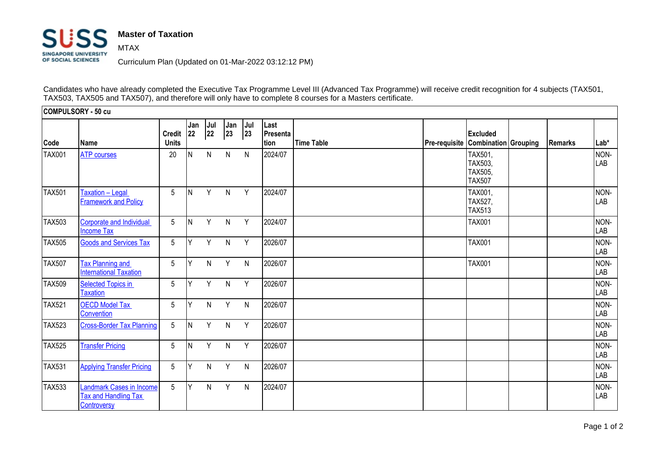## **Master of Taxation** SIISS MTAX **SINGAPORE UNIVERSITY** OF SOCIAL SCIENCES

Curriculum Plan (Updated on 01-Mar-2022 03:12:12 PM)

Candidates who have already completed the Executive Tax Programme Level III (Advanced Tax Programme) will receive credit recognition for 4 subjects (TAX501, TAX503, TAX505 and TAX507), and therefore will only have to complete 8 courses for a Masters certificate.

**COMPULSORY - 50 cu Code Name Credit Units Jan 22 Jul 22 Jan 23 Jul 23 Last Presenta tion Time Table Pre-requisite Combination Grouping Remarks Lab\* Excluded**  TAX001 <mark>[ATP courses](http://sims1.suss.edu.sg/ESERVICE/Public/ViewCourse/ViewCourse.aspx?crsecd=TAX001&viewtype=pdf&isft=0)</mark> | 20 |N N N N |2024/07 | | |TAX501, TAX503, TAX505, TAX507 NON-**LAB**  $TAX501$   $Taxation - Legal$  $Taxation - Legal$ [Framework and Policy](http://sims1.suss.edu.sg/ESERVICE/Public/ViewCourse/ViewCourse.aspx?crsecd=TAX501&viewtype=pdf&isft=0) 5 N Y N Y 2024/07 TAX001, TAX527, TAX513 NON-LAB TAX503 [Corporate and Individual](http://sims1.suss.edu.sg/ESERVICE/Public/ViewCourse/ViewCourse.aspx?crsecd=TAX503&viewtype=pdf&isft=0)  [Income Tax](http://sims1.suss.edu.sg/ESERVICE/Public/ViewCourse/ViewCourse.aspx?crsecd=TAX503&viewtype=pdf&isft=0) 5 |N Y N Y |2024/07 | |TAX001 | | |NON-LAB TAX505 [Goods and Services Tax](http://sims1.suss.edu.sg/ESERVICE/Public/ViewCourse/ViewCourse.aspx?crsecd=TAX505&viewtype=pdf&isft=0) 5 Y Y N Y 2026/07 TAX001 NON-LAB TAX507 **Tax Planning and [International Taxation](http://sims1.suss.edu.sg/ESERVICE/Public/ViewCourse/ViewCourse.aspx?crsecd=TAX507&viewtype=pdf&isft=0)** 5 Y N Y N 2026/07 TAX001 NON-LAB TAX509 Selected Topics in **[Taxation](http://sims1.suss.edu.sg/ESERVICE/Public/ViewCourse/ViewCourse.aspx?crsecd=TAX509&viewtype=pdf&isft=0)** 5 Y Y N Y |2026/07 | | | | | | |NON-LAB TAX521 [OECD Model Tax](http://sims1.suss.edu.sg/ESERVICE/Public/ViewCourse/ViewCourse.aspx?crsecd=TAX521&viewtype=pdf&isft=0)  **[Convention](http://sims1.suss.edu.sg/ESERVICE/Public/ViewCourse/ViewCourse.aspx?crsecd=TAX521&viewtype=pdf&isft=0)** 5 Y N Y N |2026/07 | | | | | | |NON-LAB TAX523 [Cross-Border Tax Planning](http://sims1.suss.edu.sg/ESERVICE/Public/ViewCourse/ViewCourse.aspx?crsecd=TAX523&viewtype=pdf&isft=0) 5 N Y N Y 2026/07 NON-LAB TAX525 [Transfer Pricing](http://sims1.suss.edu.sg/ESERVICE/Public/ViewCourse/ViewCourse.aspx?crsecd=TAX525&viewtype=pdf&isft=0) 5 N Y N Y 2026/07 NON-LAB TAX531 [Applying Transfer Pricing](http://sims1.suss.edu.sg/ESERVICE/Public/ViewCourse/ViewCourse.aspx?crsecd=TAX531&viewtype=pdf&isft=0) 5 Y N Y N 2026/07 NON-LAB TAX533 [Landmark Cases in Income](http://sims1.suss.edu.sg/ESERVICE/Public/ViewCourse/ViewCourse.aspx?crsecd=TAX533&viewtype=pdf&isft=0)  [Tax and Handling Tax](http://sims1.suss.edu.sg/ESERVICE/Public/ViewCourse/ViewCourse.aspx?crsecd=TAX533&viewtype=pdf&isft=0)  **[Controversy](http://sims1.suss.edu.sg/ESERVICE/Public/ViewCourse/ViewCourse.aspx?crsecd=TAX533&viewtype=pdf&isft=0)** 5 Y N Y N 2024/07 NON-LAB